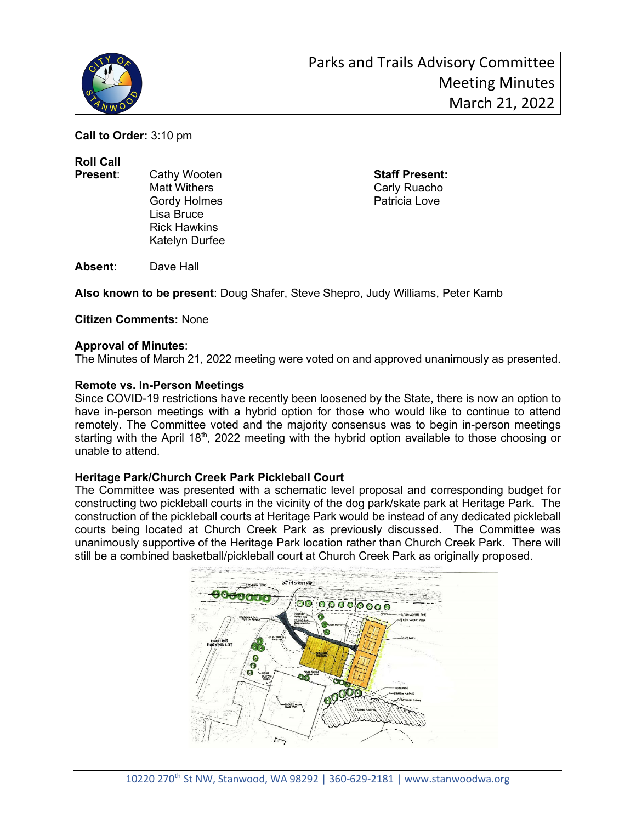

**Call to Order:** 3:10 pm

**Roll Call**

- 
- Gordy Holmes **Patricia** Love Lisa Bruce Rick Hawkins Katelyn Durfee

**Present**: Cathy Wooten **Staff Present:** Carly Ruacho

**Absent:** Dave Hall

**Also known to be present**: Doug Shafer, Steve Shepro, Judy Williams, Peter Kamb

**Citizen Comments:** None

# **Approval of Minutes**:

The Minutes of March 21, 2022 meeting were voted on and approved unanimously as presented.

# **Remote vs. In-Person Meetings**

Since COVID-19 restrictions have recently been loosened by the State, there is now an option to have in-person meetings with a hybrid option for those who would like to continue to attend remotely. The Committee voted and the majority consensus was to begin in-person meetings starting with the April 18<sup>th</sup>, 2022 meeting with the hybrid option available to those choosing or unable to attend.

### **Heritage Park/Church Creek Park Pickleball Court**

The Committee was presented with a schematic level proposal and corresponding budget for constructing two pickleball courts in the vicinity of the dog park/skate park at Heritage Park. The construction of the pickleball courts at Heritage Park would be instead of any dedicated pickleball courts being located at Church Creek Park as previously discussed. The Committee was unanimously supportive of the Heritage Park location rather than Church Creek Park. There will still be a combined basketball/pickleball court at Church Creek Park as originally proposed.

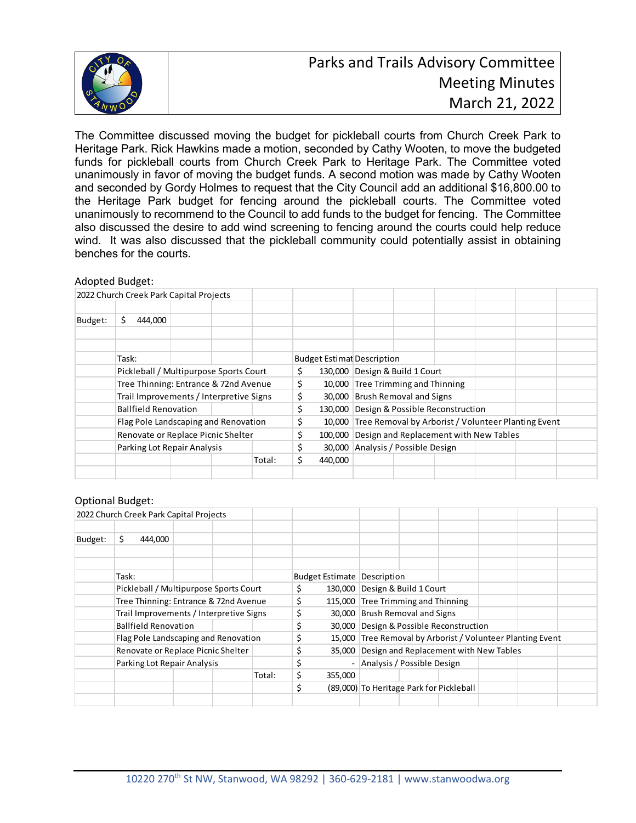

The Committee discussed moving the budget for pickleball courts from Church Creek Park to Heritage Park. Rick Hawkins made a motion, seconded by Cathy Wooten, to move the budgeted funds for pickleball courts from Church Creek Park to Heritage Park. The Committee voted unanimously in favor of moving the budget funds. A second motion was made by Cathy Wooten and seconded by Gordy Holmes to request that the City Council add an additional \$16,800.00 to the Heritage Park budget for fencing around the pickleball courts. The Committee voted unanimously to recommend to the Council to add funds to the budget for fencing. The Committee also discussed the desire to add wind screening to fencing around the courts could help reduce wind. It was also discussed that the pickleball community could potentially assist in obtaining benches for the courts.

#### Adopted Budget:

|         |                                                                                                           |                             | 2022 Church Creek Park Capital Projects |  |        |    |         |                                                            |  |  |  |  |  |
|---------|-----------------------------------------------------------------------------------------------------------|-----------------------------|-----------------------------------------|--|--------|----|---------|------------------------------------------------------------|--|--|--|--|--|
|         |                                                                                                           |                             |                                         |  |        |    |         |                                                            |  |  |  |  |  |
| Budget: | Ś.                                                                                                        | 444,000                     |                                         |  |        |    |         |                                                            |  |  |  |  |  |
|         |                                                                                                           |                             |                                         |  |        |    |         |                                                            |  |  |  |  |  |
|         |                                                                                                           |                             |                                         |  |        |    |         |                                                            |  |  |  |  |  |
|         |                                                                                                           | Task:                       |                                         |  |        |    |         | <b>Budget Estimat Description</b>                          |  |  |  |  |  |
|         |                                                                                                           |                             | Pickleball / Multipurpose Sports Court  |  |        | \$ |         | 130,000 Design & Build 1 Court                             |  |  |  |  |  |
|         | Tree Thinning: Entrance & 72nd Avenue<br>Trail Improvements / Interpretive Signs                          |                             |                                         |  |        |    |         | 10,000 Tree Trimming and Thinning                          |  |  |  |  |  |
|         |                                                                                                           |                             |                                         |  |        |    |         | 30,000 Brush Removal and Signs                             |  |  |  |  |  |
|         |                                                                                                           | <b>Ballfield Renovation</b> |                                         |  |        | \$ |         | 130,000 Design & Possible Reconstruction                   |  |  |  |  |  |
|         | Flag Pole Landscaping and Renovation<br>Renovate or Replace Picnic Shelter<br>Parking Lot Repair Analysis |                             |                                         |  |        |    |         | 10,000 Tree Removal by Arborist / Volunteer Planting Event |  |  |  |  |  |
|         |                                                                                                           |                             |                                         |  |        |    | 100.000 | Design and Replacement with New Tables                     |  |  |  |  |  |
|         |                                                                                                           |                             |                                         |  |        |    |         | 30,000 Analysis / Possible Design                          |  |  |  |  |  |
|         |                                                                                                           |                             |                                         |  | Total: | \$ | 440,000 |                                                            |  |  |  |  |  |
|         |                                                                                                           |                             |                                         |  |        |    |         |                                                            |  |  |  |  |  |

### Optional Budget:

|         | 2022 Church Creek Park Capital Projects |    |    |                                               |                                          |         |                                                            |  |  |  |  |  |
|---------|-----------------------------------------|----|----|-----------------------------------------------|------------------------------------------|---------|------------------------------------------------------------|--|--|--|--|--|
| Budget: | \$.<br>444,000                          |    |    |                                               |                                          |         |                                                            |  |  |  |  |  |
|         | Task:                                   |    |    |                                               |                                          |         | <b>Budget Estimate   Description</b>                       |  |  |  |  |  |
|         | Pickleball / Multipurpose Sports Court  | \$ |    | 130,000 Design & Build 1 Court                |                                          |         |                                                            |  |  |  |  |  |
|         | Tree Thinning: Entrance & 72nd Avenue   | \$ |    | 115,000 Tree Trimming and Thinning            |                                          |         |                                                            |  |  |  |  |  |
|         | Trail Improvements / Interpretive Signs |    |    |                                               | \$                                       |         | 30,000 Brush Removal and Signs                             |  |  |  |  |  |
|         | <b>Ballfield Renovation</b>             |    |    |                                               | \$                                       |         | 30,000 Design & Possible Reconstruction                    |  |  |  |  |  |
|         | Flag Pole Landscaping and Renovation    |    |    |                                               |                                          |         | 15,000 Tree Removal by Arborist / Volunteer Planting Event |  |  |  |  |  |
|         | Renovate or Replace Picnic Shelter      | \$ |    | 35,000 Design and Replacement with New Tables |                                          |         |                                                            |  |  |  |  |  |
|         | Parking Lot Repair Analysis             |    |    |                                               |                                          |         | Analysis / Possible Design                                 |  |  |  |  |  |
|         |                                         |    |    | Total:                                        | \$                                       | 355,000 |                                                            |  |  |  |  |  |
|         |                                         |    | \$ |                                               | (89,000) To Heritage Park for Pickleball |         |                                                            |  |  |  |  |  |
|         |                                         |    |    |                                               |                                          |         |                                                            |  |  |  |  |  |